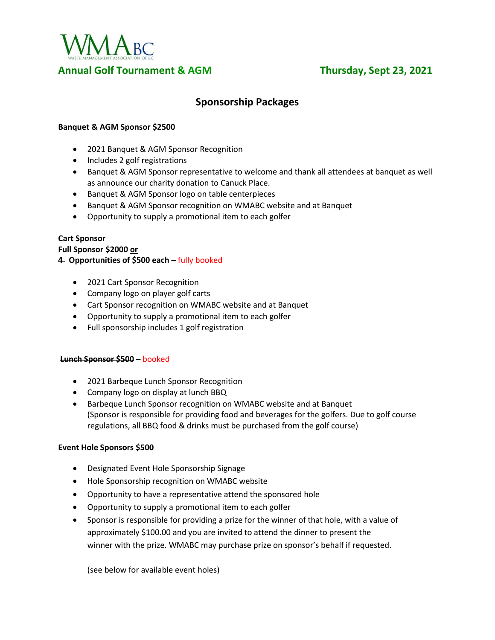

# **Sponsorship Packages**

# **Banquet & AGM Sponsor \$2500**

- 2021 Banquet & AGM Sponsor Recognition
- Includes 2 golf registrations
- Banquet & AGM Sponsor representative to welcome and thank all attendees at banquet as well as announce our charity donation to Canuck Place.
- Banquet & AGM Sponsor logo on table centerpieces
- Banquet & AGM Sponsor recognition on WMABC website and at Banquet
- Opportunity to supply a promotional item to each golfer

### **Cart Sponsor**

**Full Sponsor \$2000 or**

**4 Opportunities of \$500 each –** fully booked

- 2021 Cart Sponsor Recognition
- Company logo on player golf carts
- Cart Sponsor recognition on WMABC website and at Banquet
- Opportunity to supply a promotional item to each golfer
- Full sponsorship includes 1 golf registration

#### **Lunch Sponsor \$500 –** booked

- 2021 Barbeque Lunch Sponsor Recognition
- Company logo on display at lunch BBQ
- Barbeque Lunch Sponsor recognition on WMABC website and at Banquet (Sponsor is responsible for providing food and beverages for the golfers. Due to golf course regulations, all BBQ food & drinks must be purchased from the golf course)

#### **Event Hole Sponsors \$500**

- Designated Event Hole Sponsorship Signage
- Hole Sponsorship recognition on WMABC website
- Opportunity to have a representative attend the sponsored hole
- Opportunity to supply a promotional item to each golfer
- Sponsor is responsible for providing a prize for the winner of that hole, with a value of approximately \$100.00 and you are invited to attend the dinner to present the winner with the prize. WMABC may purchase prize on sponsor's behalf if requested.

(see below for available event holes)